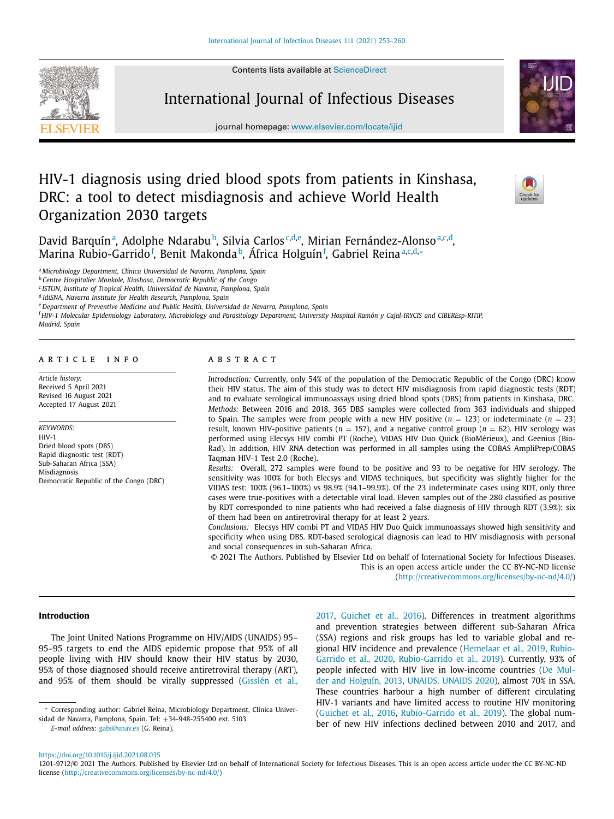Contents lists available at [ScienceDirect](http://www.ScienceDirect.com)



International Journal of Infectious Diseases

journal homepage: [www.elsevier.com/locate/ijid](http://www.elsevier.com/locate/ijid)

# HIV-1 diagnosis using dried blood spots from patients in Kinshasa, DRC: a tool to detect misdiagnosis and achieve World Health Organization 2030 targets



David Barquín<sup>a</sup>, Adolphe Ndarabu<sup>b</sup>, Silvia Carlos<sup>c,d,e</sup>, Mirian Fernández-Alonso<sup>a,c,d</sup>, Marina Rubio-Garrido<sup>f</sup>, Benit Makonda<sup>b</sup>, África Holguín<sup>f</sup>, Gabriel Reinaª<sup>,c,d,</sup>∗

<sup>a</sup> *Microbiology Department, Clínica Universidad de Navarra, Pamplona, Spain*

<sup>b</sup> *Centre Hospitalier Monkole, Kinshasa, Democratic Republic of the Congo*

<sup>c</sup> *ISTUN, Institute of Tropical Health, Universidad de Navarra, Pamplona, Spain*

<sup>d</sup> *IdiSNA, Navarra Institute for Health Research, Pamplona, Spain*

<sup>e</sup> *Department of Preventive Medicine and Public Health, Universidad de Navarra, Pamplona, Spain*

<sup>f</sup> HIV-1 Molecular Epidemiology Laboratory, Microbiology and Parasitology Department, University Hospital Ramón y Cajal-IRYCIS and CIBEREsp-RITIP,

#### *Madrid, Spain*

# a r t i c l e i n f o

*Article history:* Received 5 April 2021 Revised 16 August 2021 Accepted 17 August 2021

*KEYWORDS:* HIV-1 Dried blood spots (DBS) Rapid diagnostic test (RDT) Sub-Saharan Africa (SSA) Misdiagnosis Democratic Republic of the Congo (DRC)

# a b s t r a c t

*Introduction:* Currently, only 54% of the population of the Democratic Republic of the Congo (DRC) know their HIV status. The aim of this study was to detect HIV misdiagnosis from rapid diagnostic tests (RDT) and to evaluate serological immunoassays using dried blood spots (DBS) from patients in Kinshasa, DRC. *Methods:* Between 2016 and 2018, 365 DBS samples were collected from 363 individuals and shipped to Spain. The samples were from people with a new HIV positive  $(n = 123)$  or indeterminate  $(n = 23)$ result, known HIV-positive patients ( $n = 157$ ), and a negative control group ( $n = 62$ ). HIV serology was performed using Elecsys HIV combi PT (Roche), VIDAS HIV Duo Quick (BioMérieux), and Geenius (Bio-Rad). In addition, HIV RNA detection was performed in all samples using the COBAS AmpliPrep/COBAS Taqman HIV-1 Test 2.0 (Roche).

*Results:* Overall, 272 samples were found to be positive and 93 to be negative for HIV serology. The sensitivity was 100% for both Elecsys and VIDAS techniques, but specificity was slightly higher for the VIDAS test: 100% (96.1–100%) vs 98.9% (94.1–99.9%). Of the 23 indeterminate cases using RDT, only three cases were true-positives with a detectable viral load. Eleven samples out of the 280 classified as positive by RDT corresponded to nine patients who had received a false diagnosis of HIV through RDT (3.9%); six of them had been on antiretroviral therapy for at least 2 years.

*Conclusions:* Elecsys HIV combi PT and VIDAS HIV Duo Quick immunoassays showed high sensitivity and specificity when using DBS. RDT-based serological diagnosis can lead to HIV misdiagnosis with personal and social consequences in sub-Saharan Africa.

© 2021 The Authors. Published by Elsevier Ltd on behalf of International Society for Infectious Diseases. This is an open access article under the CC BY-NC-ND license [\(http://creativecommons.org/licenses/by-nc-nd/4.0/\)](http://creativecommons.org/licenses/by-nc-nd/4.0/)

### **Introduction**

The Joint United Nations Programme on HIV/AIDS (UNAIDS) 95– 95–95 targets to end the AIDS epidemic propose that 95% of all people living with HIV should know their HIV status by 2030, 95% of those diagnosed should receive antiretroviral therapy (ART), and 95% of them should be virally suppressed [\(Gisslén](#page-6-0) et al.,

*E-mail address:* [gabi@unav.es](mailto:gabi@unav.es) (G. Reina).

[2017,](#page-6-0) [Guichet](#page-6-0) et al., 2016). Differences in treatment algorithms and prevention strategies between different sub-Saharan Africa (SSA) regions and risk groups has led to variable global and regional HIV incidence and prevalence [\(Hemelaar](#page-6-0) et al., 2019, Rubio-Garrido et al., 2020, [Rubio-Garrido](#page-6-0) et al., 2019). Currently, 93% of people infected with HIV live in [low-income](#page-6-0) countries (De Mulder and Holguín, 2013, [UNAIDS.](#page-6-0) UNAIDS 2020), almost 70% in SSA. These countries harbour a high number of different circulating HIV-1 variants and have limited access to routine HIV monitoring [\(Guichet](#page-6-0) et al., 2016, [Rubio-Garrido](#page-6-0) et al., 2019). The global number of new HIV infections declined between 2010 and 2017, and

<sup>∗</sup> Corresponding author: Gabriel Reina, Microbiology Department, Clínica Universidad de Navarra, Pamplona, Spain. Tel: +34-948-255400 ext. 5103

<https://doi.org/10.1016/j.ijid.2021.08.035>

<sup>1201-9712/© 2021</sup> The Authors. Published by Elsevier Ltd on behalf of International Society for Infectious Diseases. This is an open access article under the CC BY-NC-ND license [\(http://creativecommons.org/licenses/by-nc-nd/4.0/\)](http://creativecommons.org/licenses/by-nc-nd/4.0/)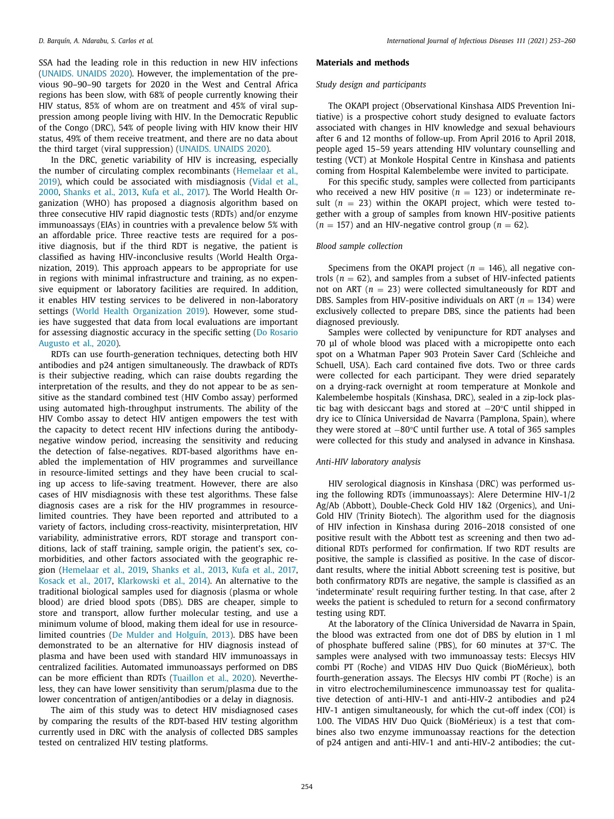SSA had the leading role in this reduction in new HIV infections [\(UNAIDS.](#page-6-0) UNAIDS 2020). However, the implementation of the previous 90–90–90 targets for 2020 in the West and Central Africa regions has been slow, with 68% of people currently knowing their HIV status, 85% of whom are on treatment and 45% of viral suppression among people living with HIV. In the Democratic Republic of the Congo (DRC), 54% of people living with HIV know their HIV status, 49% of them receive treatment, and there are no data about the third target (viral suppression) [\(UNAIDS.](#page-6-0) UNAIDS 2020).

In the DRC, genetic variability of HIV is increasing, especially the number of circulating complex [recombinants](#page-6-0) (Hemelaar et al., 2019), which could be associated with [misdiagnosis](#page-6-0) (Vidal et al., 2000, [Shanks](#page-6-0) et al., 2013, Kufa et al., [2017\)](#page-6-0). The World Health Organization (WHO) has proposed a diagnosis algorithm based on three consecutive HIV rapid diagnostic tests (RDTs) and/or enzyme immunoassays (EIAs) in countries with a prevalence below 5% with an affordable price. Three reactive tests are required for a positive diagnosis, but if the third RDT is negative, the patient is classified as having HIV-inconclusive results (World Health Organization, 2019). This approach appears to be appropriate for use in regions with minimal infrastructure and training, as no expensive equipment or laboratory facilities are required. In addition, it enables HIV testing services to be delivered in non-laboratory settings (World Health [Organization](#page-6-0) 2019). However, some studies have suggested that data from local evaluations are important for assessing [diagnostic](#page-6-0) accuracy in the specific setting (Do Rosario Augusto et al., 2020).

RDTs can use fourth-generation techniques, detecting both HIV antibodies and p24 antigen simultaneously. The drawback of RDTs is their subjective reading, which can raise doubts regarding the interpretation of the results, and they do not appear to be as sensitive as the standard combined test (HIV Combo assay) performed using automated high-throughput instruments. The ability of the HIV Combo assay to detect HIV antigen empowers the test with the capacity to detect recent HIV infections during the antibodynegative window period, increasing the sensitivity and reducing the detection of false-negatives. RDT-based algorithms have enabled the implementation of HIV programmes and surveillance in resource-limited settings and they have been crucial to scaling up access to life-saving treatment. However, there are also cases of HIV misdiagnosis with these test algorithms. These false diagnosis cases are a risk for the HIV programmes in resourcelimited countries. They have been reported and attributed to a variety of factors, including cross-reactivity, misinterpretation, HIV variability, administrative errors, RDT storage and transport conditions, lack of staff training, sample origin, the patient's sex, comorbidities, and other factors associated with the geographic region [\(Hemelaar](#page-6-0) et al., 2019, [Shanks](#page-6-0) et al., 2013, Kufa et al., [2017,](#page-6-0) [Kosack](#page-6-0) et al., 2017, [Klarkowski](#page-6-0) et al., 2014). An alternative to the traditional biological samples used for diagnosis (plasma or whole blood) are dried blood spots (DBS). DBS are cheaper, simple to store and transport, allow further molecular testing, and use a minimum volume of blood, making them ideal for use in resourcelimited countries (De Mulder and [Holguín,](#page-6-0) 2013). DBS have been demonstrated to be an alternative for HIV diagnosis instead of plasma and have been used with standard HIV immunoassays in centralized facilities. Automated immunoassays performed on DBS can be more efficient than RDTs [\(Tuaillon](#page-6-0) et al., 2020). Nevertheless, they can have lower sensitivity than serum/plasma due to the lower concentration of antigen/antibodies or a delay in diagnosis.

The aim of this study was to detect HIV misdiagnosed cases by comparing the results of the RDT-based HIV testing algorithm currently used in DRC with the analysis of collected DBS samples tested on centralized HIV testing platforms.

# **Materials and methods**

### *Study design and participants*

The OKAPI project (Observational Kinshasa AIDS Prevention Initiative) is a prospective cohort study designed to evaluate factors associated with changes in HIV knowledge and sexual behaviours after 6 and 12 months of follow-up. From April 2016 to April 2018, people aged 15–59 years attending HIV voluntary counselling and testing (VCT) at Monkole Hospital Centre in Kinshasa and patients coming from Hospital Kalembelembe were invited to participate.

For this specific study, samples were collected from participants who received a new HIV positive  $(n = 123)$  or indeterminate result (*n* = 23) within the OKAPI project, which were tested together with a group of samples from known HIV-positive patients  $(n = 157)$  and an HIV-negative control group  $(n = 62)$ .

# *Blood sample collection*

Specimens from the OKAPI project ( $n = 146$ ), all negative controls  $(n = 62)$ , and samples from a subset of HIV-infected patients not on ART  $(n = 23)$  were collected simultaneously for RDT and DBS. Samples from HIV-positive individuals on ART ( $n = 134$ ) were exclusively collected to prepare DBS, since the patients had been diagnosed previously.

Samples were collected by venipuncture for RDT analyses and 70 μl of whole blood was placed with a micropipette onto each spot on a Whatman Paper 903 Protein Saver Card (Schleiche and Schuell, USA). Each card contained five dots. Two or three cards were collected for each participant. They were dried separately on a drying-rack overnight at room temperature at Monkole and Kalembelembe hospitals (Kinshasa, DRC), sealed in a zip-lock plastic bag with desiccant bags and stored at −20°C until shipped in dry ice to Clínica Universidad de Navarra (Pamplona, Spain), where they were stored at −80°C until further use. A total of 365 samples were collected for this study and analysed in advance in Kinshasa.

# *Anti-HIV laboratory analysis*

HIV serological diagnosis in Kinshasa (DRC) was performed using the following RDTs (immunoassays): Alere Determine HIV-1/2 Ag/Ab (Abbott), Double-Check Gold HIV 1&2 (Orgenics), and Uni-Gold HIV (Trinity Biotech). The algorithm used for the diagnosis of HIV infection in Kinshasa during 2016–2018 consisted of one positive result with the Abbott test as screening and then two additional RDTs performed for confirmation. If two RDT results are positive, the sample is classified as positive. In the case of discordant results, where the initial Abbott screening test is positive, but both confirmatory RDTs are negative, the sample is classified as an 'indeterminate' result requiring further testing. In that case, after 2 weeks the patient is scheduled to return for a second confirmatory testing using RDT.

At the laboratory of the Clínica Universidad de Navarra in Spain, the blood was extracted from one dot of DBS by elution in 1 ml of phosphate buffered saline (PBS), for 60 minutes at 37°C. The samples were analysed with two immunoassay tests: Elecsys HIV combi PT (Roche) and VIDAS HIV Duo Quick (BioMérieux), both fourth-generation assays. The Elecsys HIV combi PT (Roche) is an in vitro electrochemiluminescence immunoassay test for qualitative detection of anti-HIV-1 and anti-HIV-2 antibodies and p24 HIV-1 antigen simultaneously, for which the cut-off index (COI) is 1.00. The VIDAS HIV Duo Quick (BioMérieux) is a test that combines also two enzyme immunoassay reactions for the detection of p24 antigen and anti-HIV-1 and anti-HIV-2 antibodies; the cut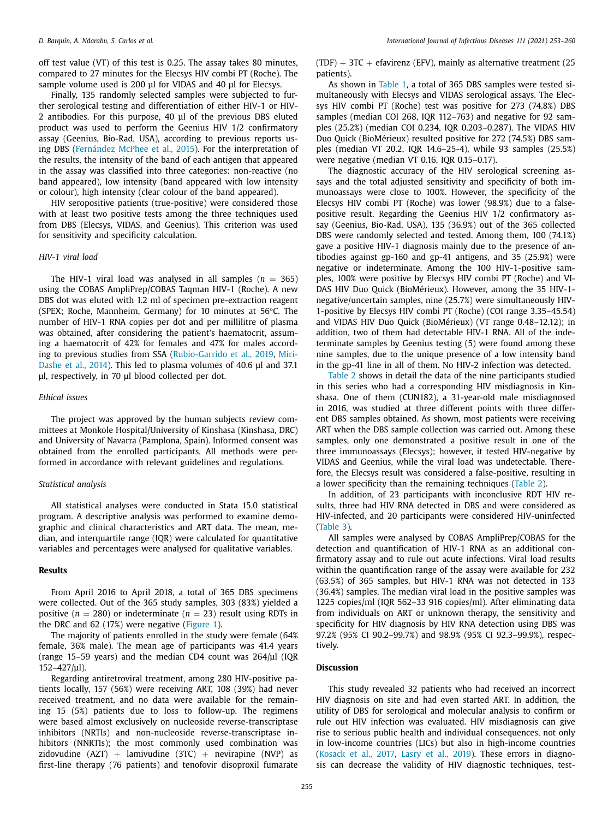off test value (VT) of this test is 0.25. The assay takes 80 minutes, compared to 27 minutes for the Elecsys HIV combi PT (Roche). The sample volume used is 200 μl for VIDAS and 40 μl for Elecsys.

Finally, 135 randomly selected samples were subjected to further serological testing and differentiation of either HIV-1 or HIV-2 antibodies. For this purpose, 40 μl of the previous DBS eluted product was used to perform the Geenius HIV 1/2 confirmatory assay (Geenius, Bio-Rad, USA), according to previous reports using DBS [\(Fernández](#page-6-0) McPhee et al., 2015). For the interpretation of the results, the intensity of the band of each antigen that appeared in the assay was classified into three categories: non-reactive (no band appeared), low intensity (band appeared with low intensity or colour), high intensity (clear colour of the band appeared).

HIV seropositive patients (true-positive) were considered those with at least two positive tests among the three techniques used from DBS (Elecsys, VIDAS, and Geenius). This criterion was used for sensitivity and specificity calculation.

### *HIV-1 viral load*

The HIV-1 viral load was analysed in all samples  $(n = 365)$ using the COBAS AmpliPrep/COBAS Taqman HIV-1 (Roche). A new DBS dot was eluted with 1.2 ml of specimen pre-extraction reagent (SPEX; Roche, Mannheim, Germany) for 10 minutes at 56°C. The number of HIV-1 RNA copies per dot and per millilitre of plasma was obtained, after considering the patient's haematocrit, assuming a haematocrit of 42% for females and 47% for males according to previous studies from SSA [\(Rubio-Garrido](#page-6-0) et al., 2019, Miri-Dashe et al., 2014). This led to plasma volumes of 40.6 μl and 37.1 μl, respectively, in 70 μl blood collected per dot.

#### *Ethical issues*

The project was approved by the human subjects review committees at Monkole Hospital/University of Kinshasa (Kinshasa, DRC) and University of Navarra (Pamplona, Spain). Informed consent was obtained from the enrolled participants. All methods were performed in accordance with relevant guidelines and regulations.

#### *Statistical analysis*

All statistical analyses were conducted in Stata 15.0 statistical program. A descriptive analysis was performed to examine demographic and clinical characteristics and ART data. The mean, median, and interquartile range (IQR) were calculated for quantitative variables and percentages were analysed for qualitative variables.

### **Results**

From April 2016 to April 2018, a total of 365 DBS specimens were collected. Out of the 365 study samples, 303 (83%) yielded a positive  $(n = 280)$  or indeterminate  $(n = 23)$  result using RDTs in the DRC and 62 (17%) were negative [\(Figure](#page-3-0) 1).

The majority of patients enrolled in the study were female (64% female, 36% male). The mean age of participants was 41.4 years (range 15–59 years) and the median CD4 count was 264/μl (IQR 152–427/μl).

Regarding antiretroviral treatment, among 280 HIV-positive patients locally, 157 (56%) were receiving ART, 108 (39%) had never received treatment, and no data were available for the remaining 15 (5%) patients due to loss to follow-up. The regimens were based almost exclusively on nucleoside reverse-transcriptase inhibitors (NRTIs) and non-nucleoside reverse-transcriptase inhibitors (NNRTIs); the most commonly used combination was zidovudine  $(AZT)$  + lamivudine  $(3TC)$  + nevirapine  $(NVP)$  as first-line therapy (76 patients) and tenofovir disoproxil fumarate  $(TDF) + 3TC + e$ favirenz (EFV), mainly as alternative treatment (25) patients).

As shown in [Table](#page-4-0) 1, a total of 365 DBS samples were tested simultaneously with Elecsys and VIDAS serological assays. The Elecsys HIV combi PT (Roche) test was positive for 273 (74.8%) DBS samples (median COI 268, IQR 112–763) and negative for 92 samples (25.2%) (median COI 0.234, IQR 0.203–0.287). The VIDAS HIV Duo Quick (BioMérieux) resulted positive for 272 (74.5%) DBS samples (median VT 20.2, IQR 14.6–25-4), while 93 samples (25.5%) were negative (median VT 0.16, IQR 0.15–0.17).

The diagnostic accuracy of the HIV serological screening assays and the total adjusted sensitivity and specificity of both immunoassays were close to 100%. However, the specificity of the Elecsys HIV combi PT (Roche) was lower (98.9%) due to a falsepositive result. Regarding the Geenius HIV 1/2 confirmatory assay (Geenius, Bio-Rad, USA), 135 (36.9%) out of the 365 collected DBS were randomly selected and tested. Among them, 100 (74.1%) gave a positive HIV-1 diagnosis mainly due to the presence of antibodies against gp-160 and gp-41 antigens, and 35 (25.9%) were negative or indeterminate. Among the 100 HIV-1-positive samples, 100% were positive by Elecsys HIV combi PT (Roche) and VI-DAS HIV Duo Quick (BioMérieux). However, among the 35 HIV-1 negative/uncertain samples, nine (25.7%) were simultaneously HIV-1-positive by Elecsys HIV combi PT (Roche) (COI range 3.35–45.54) and VIDAS HIV Duo Quick (BioMérieux) (VT range 0.48–12.12); in addition, two of them had detectable HIV-1 RNA. All of the indeterminate samples by Geenius testing (5) were found among these nine samples, due to the unique presence of a low intensity band in the gp-41 line in all of them. No HIV-2 infection was detected.

[Table](#page-4-0) 2 shows in detail the data of the nine participants studied in this series who had a corresponding HIV misdiagnosis in Kinshasa. One of them (CUN182), a 31-year-old male misdiagnosed in 2016, was studied at three different points with three different DBS samples obtained. As shown, most patients were receiving ART when the DBS sample collection was carried out. Among these samples, only one demonstrated a positive result in one of the three immunoassays (Elecsys); however, it tested HIV-negative by VIDAS and Geenius, while the viral load was undetectable. Therefore, the Elecsys result was considered a false-positive, resulting in a lower specificity than the remaining techniques [\(Table](#page-4-0) 2).

In addition, of 23 participants with inconclusive RDT HIV results, three had HIV RNA detected in DBS and were considered as HIV-infected, and 20 participants were considered HIV-uninfected [\(Table](#page-5-0) 3).

All samples were analysed by COBAS AmpliPrep/COBAS for the detection and quantification of HIV-1 RNA as an additional confirmatory assay and to rule out acute infections. Viral load results within the quantification range of the assay were available for 232 (63.5%) of 365 samples, but HIV-1 RNA was not detected in 133 (36.4%) samples. The median viral load in the positive samples was 1225 copies/ml (IQR 562–33 916 copies/ml). After eliminating data from individuals on ART or unknown therapy, the sensitivity and specificity for HIV diagnosis by HIV RNA detection using DBS was 97.2% (95% CI 90.2–99.7%) and 98.9% (95% CI 92.3–99.9%), respectively.

# **Discussion**

This study revealed 32 patients who had received an incorrect HIV diagnosis on site and had even started ART. In addition, the utility of DBS for serological and molecular analysis to confirm or rule out HIV infection was evaluated. HIV misdiagnosis can give rise to serious public health and individual consequences, not only in low-income countries (LICs) but also in high-income countries [\(Kosack](#page-6-0) et al., 2017, [Lasry](#page-6-0) et al., 2019). These errors in diagnosis can decrease the validity of HIV diagnostic techniques, test-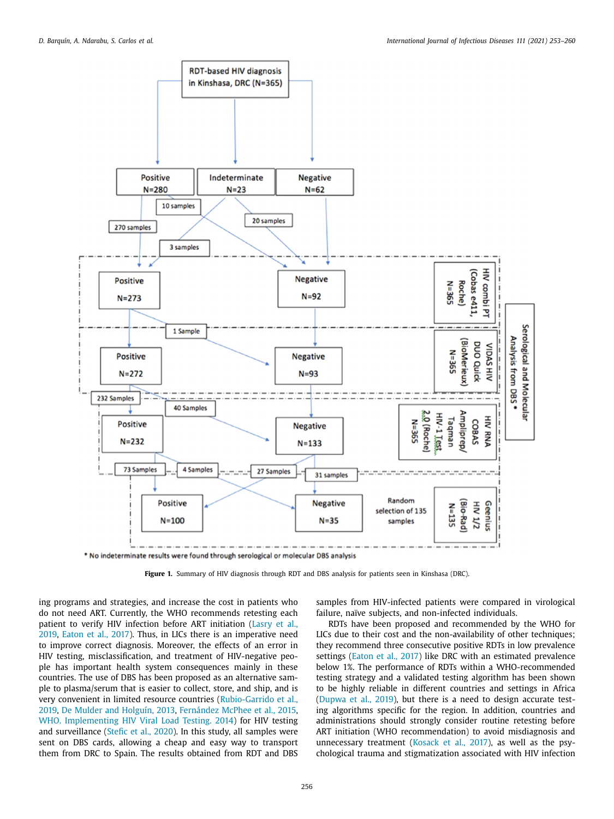<span id="page-3-0"></span>

\* No indeterminate results were found through serological or molecular DBS analysis

**Figure 1.** Summary of HIV diagnosis through RDT and DBS analysis for patients seen in Kinshasa (DRC).

ing programs and strategies, and increase the cost in patients who do not need ART. Currently, the WHO recommends retesting each patient to verify HIV infection before ART initiation (Lasry et al., 2019, [Eaton](#page-6-0) et al., 2017). Thus, in LICs there is an [imperative](#page-6-0) need to improve correct diagnosis. Moreover, the effects of an error in HIV testing, misclassification, and treatment of HIV-negative people has important health system consequences mainly in these countries. The use of DBS has been proposed as an alternative sample to plasma/serum that is easier to collect, store, and ship, and is very convenient in limited resource countries [\(Rubio-Garrido](#page-6-0) et al., 2019, De Mulder and [Holguín,](#page-6-0) 2013, [Fernández](#page-6-0) McPhee et al., 2015, WHO. [Implementing](#page-6-0) HIV Viral Load Testing. 2014) for HIV testing and surveillance [\(Stefic](#page-6-0) et al., 2020). In this study, all samples were sent on DBS cards, allowing a cheap and easy way to transport them from DRC to Spain. The results obtained from RDT and DBS

samples from HIV-infected patients were compared in virological failure, naïve subjects, and non-infected individuals.

RDTs have been proposed and recommended by the WHO for LICs due to their cost and the non-availability of other techniques; they recommend three consecutive positive RDTs in low prevalence settings [\(Eaton](#page-6-0) et al., 2017) like DRC with an estimated prevalence below 1%. The performance of RDTs within a WHO-recommended testing strategy and a validated testing algorithm has been shown to be highly reliable in different countries and settings in Africa [\(Dupwa](#page-6-0) et al., 2019), but there is a need to design accurate testing algorithms specific for the region. In addition, countries and administrations should strongly consider routine retesting before ART initiation (WHO recommendation) to avoid misdiagnosis and unnecessary treatment [\(Kosack](#page-6-0) et al., 2017), as well as the psychological trauma and stigmatization associated with HIV infection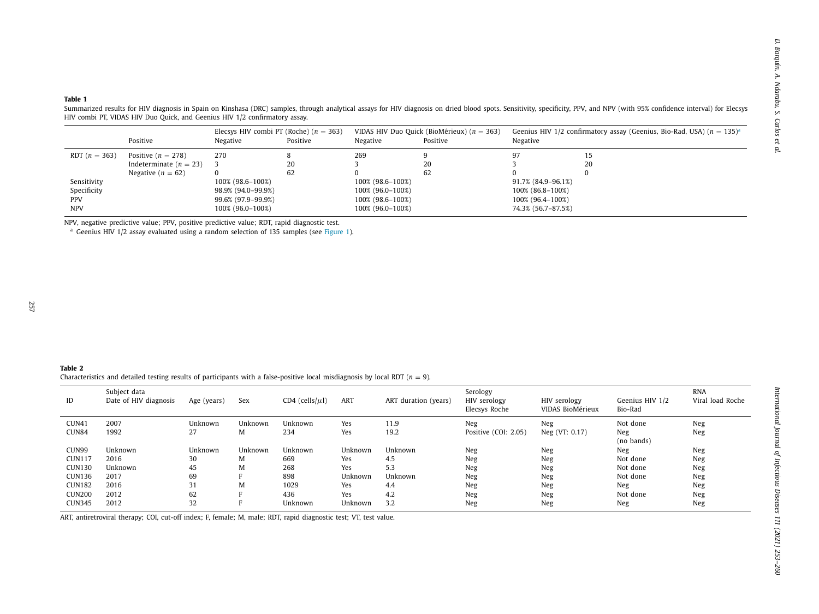|                 | Positive                 | Negative           | Elecsys HIV combi PT (Roche) ( $n = 363$ )<br>Positive | Negative         | VIDAS HIV Duo Quick (BioMérieux) ( $n = 363$ )<br>Positive | Negative           | Geenius HIV 1/2 confirmatory assay (Geenius, Bio-Rad, USA) $(n = 135)^{a}$ |
|-----------------|--------------------------|--------------------|--------------------------------------------------------|------------------|------------------------------------------------------------|--------------------|----------------------------------------------------------------------------|
| RDT $(n = 363)$ | Positive $(n = 278)$     | 270                |                                                        | 269              |                                                            | 97                 | 15                                                                         |
|                 | Indeterminate $(n = 23)$ |                    | 20                                                     |                  | 20                                                         |                    | 20                                                                         |
|                 | Negative $(n = 62)$      |                    | 62                                                     |                  | 62                                                         |                    |                                                                            |
| Sensitivity     |                          | 100% (98.6–100%)   |                                                        | 100% (98.6–100%) |                                                            | 91.7% (84.9–96.1%) |                                                                            |
| Specificity     |                          | 98.9% (94.0-99.9%) |                                                        | 100% (96.0–100%) |                                                            | 100% (86.8–100%)   |                                                                            |
| <b>PPV</b>      |                          | 99.6% (97.9–99.9%) |                                                        | 100% (98.6–100%) |                                                            | 100% (96.4–100%)   |                                                                            |
| <b>NPV</b>      |                          | 100% (96.0-100%)   |                                                        | 100% (96.0–100%) |                                                            | 74.3% (56.7-87.5%) |                                                                            |

<span id="page-4-0"></span>

|                                                                                                                                                | Positive                                                                                                                                                                 | Negative      |                     | Elecsys HIV combi PT (Roche) ( $n = 363$ )<br>Positive | Negative       | VIDAS HIV Duo Quick (BioMérieux) ( $n = 363$ )<br>Positive |                                           | Geenius HIV 1/2 confirmatory assay (Geenius, Bio-Rad, USA) ( $n = 135$ ) <sup>a</sup><br>Negative |                            |                                |
|------------------------------------------------------------------------------------------------------------------------------------------------|--------------------------------------------------------------------------------------------------------------------------------------------------------------------------|---------------|---------------------|--------------------------------------------------------|----------------|------------------------------------------------------------|-------------------------------------------|---------------------------------------------------------------------------------------------------|----------------------------|--------------------------------|
| RDT $(n = 363)$                                                                                                                                | Positive ( $n = 278$ )                                                                                                                                                   | 270           |                     | 8                                                      | 269            | 9                                                          | 97                                        | 15                                                                                                |                            |                                |
|                                                                                                                                                | Indeterminate ( $n = 23$ )                                                                                                                                               | 3             |                     | 20                                                     | 3              | 20                                                         | 3                                         | $20\,$                                                                                            |                            |                                |
|                                                                                                                                                | Negative ( $n = 62$ )                                                                                                                                                    | $\mathbf{0}$  |                     | 62                                                     | $\mathbf{0}$   | 62                                                         | $\mathbf{0}$                              | $\mathbf{0}$                                                                                      |                            |                                |
| Sensitivity                                                                                                                                    |                                                                                                                                                                          |               | 100% (98.6-100%)    |                                                        |                | 100% (98.6-100%)                                           |                                           | 91.7% (84.9-96.1%)                                                                                |                            |                                |
| Specificity                                                                                                                                    |                                                                                                                                                                          |               | 98.9% (94.0-99.9%)  |                                                        |                | 100% (96.0-100%)                                           |                                           | 100% (86.8-100%)                                                                                  |                            |                                |
| PPV                                                                                                                                            |                                                                                                                                                                          |               | 99.6% (97.9-99.9%)  |                                                        |                | 100% (98.6-100%)                                           |                                           | 100% (96.4-100%)                                                                                  |                            |                                |
| <b>NPV</b>                                                                                                                                     |                                                                                                                                                                          |               | 100% (96.0-100%)    |                                                        |                | 100% (96.0-100%)                                           |                                           | 74.3% (56.7-87.5%)                                                                                |                            |                                |
|                                                                                                                                                |                                                                                                                                                                          |               |                     |                                                        |                |                                                            |                                           |                                                                                                   |                            |                                |
|                                                                                                                                                |                                                                                                                                                                          |               |                     |                                                        |                |                                                            |                                           |                                                                                                   |                            |                                |
|                                                                                                                                                | Characteristics and detailed testing results of participants with a false-positive local misdiagnosis by local RDT ( $n = 9$ ).<br>Subject data<br>Date of HIV diagnosis | Age (years)   | Sex                 | CD4 (cells/ $\mu$ l)                                   | ART            | ART duration (years)                                       | Serology<br>HIV serology<br>Elecsys Roche | HIV serology<br>VIDAS BioMérieux                                                                  | Geenius HIV 1/2<br>Bio-Rad | <b>RNA</b><br>Viral load Roche |
|                                                                                                                                                |                                                                                                                                                                          |               |                     |                                                        |                |                                                            |                                           |                                                                                                   |                            |                                |
|                                                                                                                                                | 2007<br>1992                                                                                                                                                             | Unknown<br>27 | Unknown<br>M        | Unknown                                                | Yes            | 11.9                                                       | Neg                                       | Neg                                                                                               | Not done                   | Neg                            |
|                                                                                                                                                |                                                                                                                                                                          |               |                     | 234                                                    | Yes            | 19.2                                                       | Positive (COI: 2.05)                      | Neg (VT: 0.17)                                                                                    | Neg<br>(no bands)          | Neg                            |
|                                                                                                                                                | Unknown                                                                                                                                                                  | Unknown       | Unknown             | Unknown                                                | Unknown        | Unknown                                                    | Neg                                       | Neg                                                                                               | Neg                        | Neg                            |
|                                                                                                                                                | 2016                                                                                                                                                                     | 30            | M                   | 669                                                    | Yes            | 4.5                                                        | Neg                                       | Neg                                                                                               | Not done                   | Neg                            |
|                                                                                                                                                | Unknown                                                                                                                                                                  | 45            | M                   | 268                                                    | Yes            | 5.3                                                        | Neg                                       | Neg                                                                                               | Not done                   | Neg                            |
|                                                                                                                                                | 2017                                                                                                                                                                     | 69            | F                   | 898                                                    | Unknown        | Unknown                                                    | Neg                                       | Neg                                                                                               | Not done                   | Neg                            |
|                                                                                                                                                | 2016                                                                                                                                                                     | 31            | M                   | 1029                                                   | Yes            | 4.4                                                        | Neg                                       | Neg                                                                                               | Neg                        | Neg                            |
| Table 2<br>ID<br>CUN41<br>CUN84<br>CUN99<br><b>CUN117</b><br><b>CUN130</b><br><b>CUN136</b><br><b>CUN182</b><br><b>CUN200</b><br><b>CUN345</b> | 2012<br>2012                                                                                                                                                             | 62<br>32      | F<br>$\overline{F}$ | 436<br>Unknown                                         | Yes<br>Unknown | 4.2<br>3.2                                                 | Neg<br>Neg                                | Neg<br>Neg                                                                                        | Not done<br>Neg            | Neg<br>Neg                     |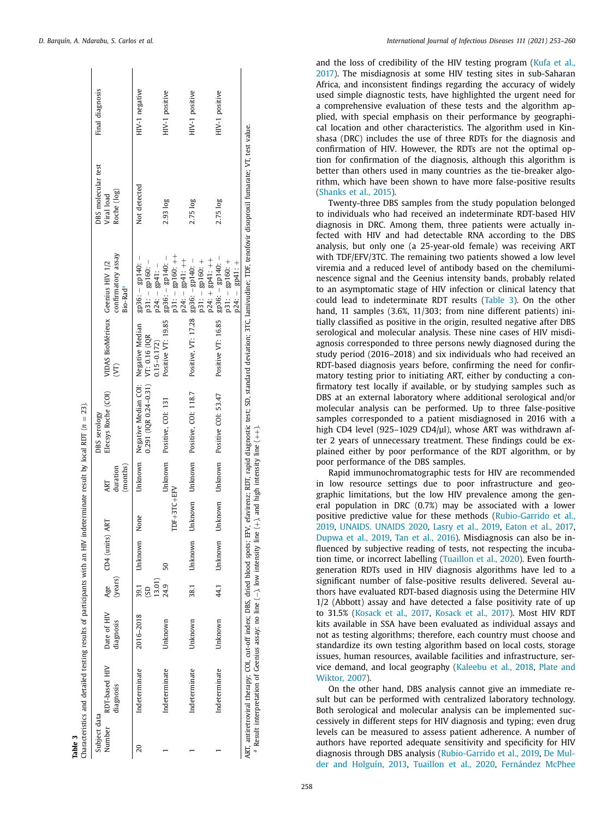<span id="page-5-0"></span>

| Table 3                | Characteristics and detailed testing results of participants with an HIV indeterminate result by local RDT ( $n = 23$ ). |                          |                |                 |             |                             |                                                                                   |                                                        |                                                                             |                                                                                                                                                                                                                   |                 |
|------------------------|--------------------------------------------------------------------------------------------------------------------------|--------------------------|----------------|-----------------|-------------|-----------------------------|-----------------------------------------------------------------------------------|--------------------------------------------------------|-----------------------------------------------------------------------------|-------------------------------------------------------------------------------------------------------------------------------------------------------------------------------------------------------------------|-----------------|
| Subject data<br>Number | RDT-based HIV<br>diagnosis                                                                                               | Date of HIV<br>diagnosis | (years)        | Age CD4 (units) | ART         | (months)<br>duration<br>ART | Elecsys Roche (COI)<br>DBS serology                                               | VIDAS BioMérieux Geenius HIV 1/2<br>$\widehat{\Sigma}$ | confirmatory assay<br>Bio-Rad <sup>a</sup>                                  | DBS molecular test<br>Roche (log)<br>Viral load                                                                                                                                                                   | Final diagnosis |
| 20                     | Indeterminate                                                                                                            | 2016-2018                | 13.01)<br>39.1 | Unknown         | None        | Unknown                     | Negative Median COI: Negative Median<br>$0.291($ [QR $0.24 - 0.31)$ VT: 0.16 (IQR | $0.15 - 0.172$                                         | $\text{g}$ p36: – $\text{g}$ p140: –<br>$p31: -gp160: -$<br>$p24: -gp41: -$ | Not detected                                                                                                                                                                                                      | HIV-1 negative  |
|                        | Indeterminate                                                                                                            | Unknown                  | 24.9           | 50              | TDF+3TC+EFV |                             | Unknown Positive, COI: 131                                                        | Positive VT: 19.85                                     | $p31: -gp160:++$<br>$_{\rm gp36:}$ – $_{\rm gh140:}$ –<br>$p24:  gp41: ++$  | 2.93 log                                                                                                                                                                                                          | HIV-1 positive  |
|                        | Indeterminate                                                                                                            | Unknown                  | 38.1           | Unknown         |             |                             | Unknown Unknown Positive, COI: 118.7                                              | Positive, VT: 17.28 gp36: -gp140: -                    | $p24: + gp41: ++$<br>$p31:  gp160: +$                                       | 2.75 log                                                                                                                                                                                                          | HIV-1 positive  |
|                        | Indeterminate                                                                                                            | Unknown                  | 44.1           | Unknown         |             |                             | Unknown Unknown Positive COI: 53.47                                               | Positive VT: 16.85                                     | $gp36: -gp140: -$<br>$p31: -gp160: +$<br>$gp41: +$<br>$p24: -$              | 2.75 log                                                                                                                                                                                                          | HIV-1 positive  |
|                        | <sup>a</sup> Result interpretation of Geenius assay: no line (-), low intensity line (+), and high intensity line (++).  |                          |                |                 |             |                             |                                                                                   |                                                        |                                                                             | ART, antiretroviral therapy; COI, cut-off index; DBS, dried blood spots; EPV, efavirenz; RDT, rapid diagnostic test; SD, standard deviation; 3TC, lamivudine; TDF, tenofovir disoproxil fumarate; VT, test value. |                 |

and the loss of credibility of the HIV testing program (Kufa et al., 2017). The [misdiagnosis](#page-6-0) at some HIV testing sites in sub-Saharan Africa, and inconsistent findings regarding the accuracy of widely used simple diagnostic tests, have highlighted the urgent need for a comprehensive evaluation of these tests and the algorithm applied, with special emphasis on their performance by geographical location and other characteristics. The algorithm used in Kinshasa (DRC) includes the use of three RDTs for the diagnosis and confirmation of HIV. However, the RDTs are not the optimal option for confirmation of the diagnosis, although this algorithm is better than others used in many countries as the tie-breaker algorithm, which have been shown to have more false-positive results [\(Shanks](#page-7-0) et al., 2015).

Twenty-three DBS samples from the study population belonged to individuals who had received an indeterminate RDT-based HIV diagnosis in DRC. Among them, three patients were actually infected with HIV and had detectable RNA according to the DBS analysis, but only one (a 25-year-old female) was receiving ART with TDF/EFV/3TC. The remaining two patients showed a low level viremia and a reduced level of antibody based on the chemiluminescence signal and the Geenius intensity bands, probably related to an asymptomatic stage of HIV infection or clinical latency that could lead to indeterminate RDT results (Table 3). On the other hand, 11 samples (3.6%, 11/303; from nine different patients) initially classified as positive in the origin, resulted negative after DBS serological and molecular analysis. These nine cases of HIV misdiagnosis corresponded to three persons newly diagnosed during the study period (2016–2018) and six individuals who had received an RDT-based diagnosis years before, confirming the need for confirmatory testing prior to initiating ART, either by conducting a confirmatory test locally if available, or by studying samples such as DBS at an external laboratory where additional serological and/or molecular analysis can be performed. Up to three false-positive samples corresponded to a patient misdiagnosed in 2016 with a high CD4 level (925–1029 CD4/μl), whose ART was withdrawn after 2 years of unnecessary treatment. These findings could be explained either by poor performance of the RDT algorithm, or by poor performance of the DBS samples.

Rapid immunochromatographic tests for HIV are recommended in low resource settings due to poor infrastructure and geographic limitations, but the low HIV prevalence among the general population in DRC (0.7%) may be associated with a lower positive predictive value for these methods [\(Rubio-Garrido](#page-6-0) et al., 2019, [UNAIDS.](#page-6-0) UNAIDS 2020, [Lasry](#page-6-0) et al., 2019, [Eaton](#page-6-0) et al., 2017, [Dupwa](#page-6-0) et al., 2019, Tan et al., [2016\)](#page-7-0). Misdiagnosis can also be influenced by subjective reading of tests, not respecting the incubation time, or incorrect labelling [\(Tuaillon](#page-6-0) et al., 2020). Even fourthgeneration RDTs used in HIV diagnosis algorithms have led to a significant number of false-positive results delivered. Several authors have evaluated RDT-based diagnosis using the Determine HIV 1/2 (Abbott) assay and have detected a false positivity rate of up to 31.5% [\(Kosack](#page-6-0) et al., 2017, [Kosack](#page-7-0) et al., 2017). Most HIV RDT kits available in SSA have been evaluated as individual assays and not as testing algorithms; therefore, each country must choose and standardize its own testing algorithm based on local costs, storage issues, human resources, available facilities and infrastructure, service demand, and local [geography](#page-7-0) [\(Kaleebu](#page-7-0) et al., 2018, Plate and Wiktor, 2007).

On the other hand, DBS analysis cannot give an immediate result but can be performed with centralized laboratory technology. Both serological and molecular analysis can be implemented successively in different steps for HIV diagnosis and typing; even drug levels can be measured to assess patient adherence. A number of authors have reported adequate sensitivity and specificity for HIV diagnosis through DBS analysis [\(Rubio-Garrido](#page-6-0) et al., 2019, De Mulder and Holguín, 2013, [Tuaillon](#page-6-0) et al., 2020, [Fernández](#page-6-0) McPhee

 $\mathbf{r}$ 

 $\mathbf{I}$ 

 $\overline{1}$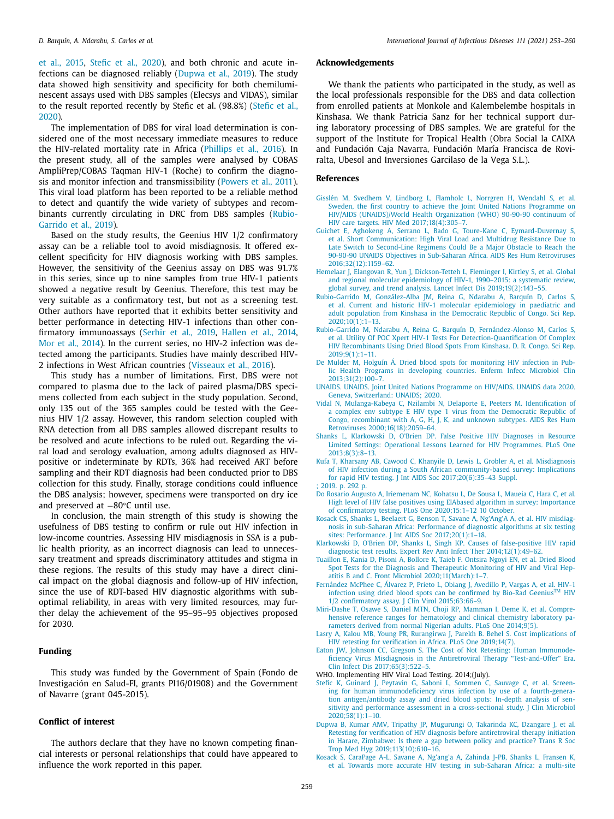<span id="page-6-0"></span>et al., 2015, Stefic et al., 2020), and both chronic and acute infections can be diagnosed reliably (Dupwa et al., 2019). The study data showed high sensitivity and specificity for both chemiluminescent assays used with DBS samples (Elecsys and VIDAS), similar to the result reported recently by Stefic et al. (98.8%) (Stefic et al., 2020).

The implementation of DBS for viral load determination is considered one of the most necessary immediate measures to reduce the HIV-related mortality rate in Africa [\(Phillips](#page-7-0) et al., 2016). In the present study, all of the samples were analysed by COBAS AmpliPrep/COBAS Taqman HIV-1 (Roche) to confirm the diagnosis and monitor infection and transmissibility [\(Powers](#page-7-0) et al., 2011). This viral load platform has been reported to be a reliable method to detect and quantify the wide variety of subtypes and recombinants currently circulating in DRC from DBS samples (Rubio-Garrido et al., 2019).

Based on the study results, the Geenius HIV 1/2 confirmatory assay can be a reliable tool to avoid misdiagnosis. It offered excellent specificity for HIV diagnosis working with DBS samples. However, the sensitivity of the Geenius assay on DBS was 91.7% in this series, since up to nine samples from true HIV-1 patients showed a negative result by Geenius. Therefore, this test may be very suitable as a confirmatory test, but not as a screening test. Other authors have reported that it exhibits better sensitivity and better performance in detecting HIV-1 infections than other confirmatory immunoassays [\(Serhir](#page-7-0) et al., 2019, [Hallen](#page-7-0) et al., 2014, Mor et al., [2014\)](#page-7-0). In the current series, no HIV-2 infection was detected among the participants. Studies have mainly described HIV-2 infections in West African countries [\(Visseaux](#page-7-0) et al., 2016).

This study has a number of limitations. First, DBS were not compared to plasma due to the lack of paired plasma/DBS specimens collected from each subject in the study population. Second, only 135 out of the 365 samples could be tested with the Geenius HIV 1/2 assay. However, this random selection coupled with RNA detection from all DBS samples allowed discrepant results to be resolved and acute infections to be ruled out. Regarding the viral load and serology evaluation, among adults diagnosed as HIVpositive or indeterminate by RDTs, 36% had received ART before sampling and their RDT diagnosis had been conducted prior to DBS collection for this study. Finally, storage conditions could influence the DBS analysis; however, specimens were transported on dry ice and preserved at −80°C until use.

In conclusion, the main strength of this study is showing the usefulness of DBS testing to confirm or rule out HIV infection in low-income countries. Assessing HIV misdiagnosis in SSA is a public health priority, as an incorrect diagnosis can lead to unnecessary treatment and spreads discriminatory attitudes and stigma in these regions. The results of this study may have a direct clinical impact on the global diagnosis and follow-up of HIV infection, since the use of RDT-based HIV diagnostic algorithms with suboptimal reliability, in areas with very limited resources, may further delay the achievement of the 95–95–95 objectives proposed for 2030.

# **Funding**

This study was funded by the Government of Spain (Fondo de Investigación en Salud-FI, grants PI16/01908) and the Government of Navarre (grant 045-2015).

# **Conflict of interest**

The authors declare that they have no known competing financial interests or personal relationships that could have appeared to influence the work reported in this paper.

# **Acknowledgements**

We thank the patients who participated in the study, as well as the local professionals responsible for the DBS and data collection from enrolled patients at Monkole and Kalembelembe hospitals in Kinshasa. We thank Patricia Sanz for her technical support during laboratory processing of DBS samples. We are grateful for the support of the Institute for Tropical Health (Obra Social la CAIXA and Fundación Caja Navarra, Fundación María Francisca de Roviralta, Ubesol and Inversiones Garcilaso de la Vega S.L.).

#### **References**

- [Gisslén](http://refhub.elsevier.com/S1201-9712(21)00669-X/sbref0001) M, [Svedhem](http://refhub.elsevier.com/S1201-9712(21)00669-X/sbref0001) V, [Lindborg](http://refhub.elsevier.com/S1201-9712(21)00669-X/sbref0001) L, [Flamholc](http://refhub.elsevier.com/S1201-9712(21)00669-X/sbref0001) L, [Norrgren](http://refhub.elsevier.com/S1201-9712(21)00669-X/sbref0001) H, [Wendahl](http://refhub.elsevier.com/S1201-9712(21)00669-X/sbref0001) S, et [al.](http://refhub.elsevier.com/S1201-9712(21)00669-X/sbref0001) Sweden, the first country to achieve the Joint United Nations Programme on HIV/AIDS (UNAIDS)/World Health Organization (WHO) 90-90-90 continuum of HIV care targets. HIV Med [2017;18\(4\):305–7.](http://refhub.elsevier.com/S1201-9712(21)00669-X/sbref0001)
- [Guichet](http://refhub.elsevier.com/S1201-9712(21)00669-X/sbref0002) E, [Aghokeng](http://refhub.elsevier.com/S1201-9712(21)00669-X/sbref0002) A, [Serrano](http://refhub.elsevier.com/S1201-9712(21)00669-X/sbref0002) L, [Bado](http://refhub.elsevier.com/S1201-9712(21)00669-X/sbref0002) G, [Toure-Kane](http://refhub.elsevier.com/S1201-9712(21)00669-X/sbref0002) C, [Eymard-Duvernay](http://refhub.elsevier.com/S1201-9712(21)00669-X/sbref0002) S, et [al.](http://refhub.elsevier.com/S1201-9712(21)00669-X/sbref0002) Short Communication: High Viral Load and Multidrug Resistance Due to Late Switch to Second-Line Regimens Could Be a Major Obstacle to Reach the 90-90-90 UNAIDS Objectives in Sub-Saharan Africa. AIDS Res Hum Retroviruses [2016;32\(12\):1159–62.](http://refhub.elsevier.com/S1201-9712(21)00669-X/sbref0002)
- [Hemelaar](http://refhub.elsevier.com/S1201-9712(21)00669-X/sbref0003) J, [Elangovan](http://refhub.elsevier.com/S1201-9712(21)00669-X/sbref0003) R, [Yun](http://refhub.elsevier.com/S1201-9712(21)00669-X/sbref0003) J, [Dickson-Tetteh](http://refhub.elsevier.com/S1201-9712(21)00669-X/sbref0003) L, [Fleminger](http://refhub.elsevier.com/S1201-9712(21)00669-X/sbref0003) I, [Kirtley](http://refhub.elsevier.com/S1201-9712(21)00669-X/sbref0003) S, et [al.](http://refhub.elsevier.com/S1201-9712(21)00669-X/sbref0003) Global and regional molecular epidemiology of HIV-1, 1990–2015: a systematic review, global survey, and trend analysis. Lancet Infect Dis [2019;19\(2\):143–55.](http://refhub.elsevier.com/S1201-9712(21)00669-X/sbref0003)
- [Rubio-Garrido](http://refhub.elsevier.com/S1201-9712(21)00669-X/sbref0004) M, [González-Alba](http://refhub.elsevier.com/S1201-9712(21)00669-X/sbref0004) JM, [Reina](http://refhub.elsevier.com/S1201-9712(21)00669-X/sbref0004) G, [Ndarabu](http://refhub.elsevier.com/S1201-9712(21)00669-X/sbref0004) A, [Barquín](http://refhub.elsevier.com/S1201-9712(21)00669-X/sbref0004) D, [Carlos](http://refhub.elsevier.com/S1201-9712(21)00669-X/sbref0004) S, et [al.](http://refhub.elsevier.com/S1201-9712(21)00669-X/sbref0004) Current and historic HIV-1 molecular epidemiology in paediatric and adult population from Kinshasa in the Democratic Republic of Congo. Sci Rep. [2020;10\(1\):1–13.](http://refhub.elsevier.com/S1201-9712(21)00669-X/sbref0004)
- [Rubio-Garrido](http://refhub.elsevier.com/S1201-9712(21)00669-X/sbref0005) M, [Ndarabu](http://refhub.elsevier.com/S1201-9712(21)00669-X/sbref0005) A, [Reina](http://refhub.elsevier.com/S1201-9712(21)00669-X/sbref0005) G, [Barquín](http://refhub.elsevier.com/S1201-9712(21)00669-X/sbref0005) D, [Fernández-Alonso](http://refhub.elsevier.com/S1201-9712(21)00669-X/sbref0005) M, [Carlos](http://refhub.elsevier.com/S1201-9712(21)00669-X/sbref0005) S, et [al.](http://refhub.elsevier.com/S1201-9712(21)00669-X/sbref0005) Utility Of POC Xpert HIV-1 Tests For [Detection-Quantification](http://refhub.elsevier.com/S1201-9712(21)00669-X/sbref0005) Of Complex HIV Recombinants Using Dried Blood Spots From Kinshasa. D. R. Congo. Sci Rep.  $2019.9(1):1-11$
- De [Mulder](http://refhub.elsevier.com/S1201-9712(21)00669-X/sbref0006) M, [Holguín](http://refhub.elsevier.com/S1201-9712(21)00669-X/sbref0006) Á. Dried blood spots for monitoring HIV infection in Public Health Programs in developing countries. Enferm Infecc Microbiol Clin [2013;31\(2\):100–7.](http://refhub.elsevier.com/S1201-9712(21)00669-X/sbref0006)
- UNAIDS. UNAIDS. Joint United Nations Programme on HIV/AIDS. UNAIDS data 2020. Geneva, [Switzerland:](http://refhub.elsevier.com/S1201-9712(21)00669-X/sbref0007) UNAIDS; 2020.
- [Vidal](http://refhub.elsevier.com/S1201-9712(21)00669-X/sbref0008) N, [Mulanga-Kabeya](http://refhub.elsevier.com/S1201-9712(21)00669-X/sbref0008) C, [Nzilambi](http://refhub.elsevier.com/S1201-9712(21)00669-X/sbref0008) N, [Delaporte](http://refhub.elsevier.com/S1201-9712(21)00669-X/sbref0008) E, [Peeters](http://refhub.elsevier.com/S1201-9712(21)00669-X/sbref0008) M. Identification of a complex env subtype E HIV type 1 virus from the Democratic Republic of Congo, recombinant with A, G, H, J, K, and unknown subtypes. AIDS Res Hum Retroviruses [2000;16\(18\):2059–64.](http://refhub.elsevier.com/S1201-9712(21)00669-X/sbref0008)
- [Shanks](http://refhub.elsevier.com/S1201-9712(21)00669-X/sbref0009) L, [Klarkowski](http://refhub.elsevier.com/S1201-9712(21)00669-X/sbref0009) D, [O'Brien](http://refhub.elsevier.com/S1201-9712(21)00669-X/sbref0009) DP. False Positive HIV Diagnoses in Resource Limited Settings: Operational Lessons Learned for HIV Programmes. PLoS One [2013;8\(3\):8–13.](http://refhub.elsevier.com/S1201-9712(21)00669-X/sbref0009)
- [Kufa](http://refhub.elsevier.com/S1201-9712(21)00669-X/sbref0010) T, [Kharsany](http://refhub.elsevier.com/S1201-9712(21)00669-X/sbref0010) AB, [Cawood](http://refhub.elsevier.com/S1201-9712(21)00669-X/sbref0010) C, [Khanyile](http://refhub.elsevier.com/S1201-9712(21)00669-X/sbref0010) D, [Lewis](http://refhub.elsevier.com/S1201-9712(21)00669-X/sbref0010) L, [Grobler](http://refhub.elsevier.com/S1201-9712(21)00669-X/sbref0010) A, et [al.](http://refhub.elsevier.com/S1201-9712(21)00669-X/sbref0010) Misdiagnosis of HIV infection during a South African [community-based](http://refhub.elsevier.com/S1201-9712(21)00669-X/sbref0010) survey: Implications for rapid HIV testing. J Int AIDS Soc 2017;20(6):35–43 Suppl.  $\cdot$  [2019.](http://refhub.elsevier.com/S1201-9712(21)00669-X/sbref0011) p. 292 p.
- 
- Do Rosario [Augusto](http://refhub.elsevier.com/S1201-9712(21)00669-X/sbref0012) A, [Iriemenam](http://refhub.elsevier.com/S1201-9712(21)00669-X/sbref0012) NC, [Kohatsu](http://refhub.elsevier.com/S1201-9712(21)00669-X/sbref0012) L, De [Sousa](http://refhub.elsevier.com/S1201-9712(21)00669-X/sbref0012) L, [Maueia](http://refhub.elsevier.com/S1201-9712(21)00669-X/sbref0012) C, [Hara](http://refhub.elsevier.com/S1201-9712(21)00669-X/sbref0012) C, et [al.](http://refhub.elsevier.com/S1201-9712(21)00669-X/sbref0012) High level of HIV false positives using EIAbased algorithm in survey: Importance of confirmatory testing. PLoS One [2020;15:1–12](http://refhub.elsevier.com/S1201-9712(21)00669-X/sbref0012) 10 October.
- [Kosack](http://refhub.elsevier.com/S1201-9712(21)00669-X/sbref0013) CS, [Shanks](http://refhub.elsevier.com/S1201-9712(21)00669-X/sbref0013) L, [Beelaert](http://refhub.elsevier.com/S1201-9712(21)00669-X/sbref0013) G, [Benson](http://refhub.elsevier.com/S1201-9712(21)00669-X/sbref0013) T, [Savane](http://refhub.elsevier.com/S1201-9712(21)00669-X/sbref0013) A, [Ng'Ang'A](http://refhub.elsevier.com/S1201-9712(21)00669-X/sbref0013) A, et [al.](http://refhub.elsevier.com/S1201-9712(21)00669-X/sbref0013) HIV misdiagnosis in sub-Saharan Africa: Performance of diagnostic algorithms at six testing sites: Performance. J Int AIDS Soc [2017;20\(1\):1–18.](http://refhub.elsevier.com/S1201-9712(21)00669-X/sbref0013)
- [Klarkowski](http://refhub.elsevier.com/S1201-9712(21)00669-X/sbref0014) D, [O'Brien](http://refhub.elsevier.com/S1201-9712(21)00669-X/sbref0014) DP, [Shanks](http://refhub.elsevier.com/S1201-9712(21)00669-X/sbref0014) L, [Singh](http://refhub.elsevier.com/S1201-9712(21)00669-X/sbref0014) KP. Causes of false-positive HIV rapid diagnostic test results. Expert Rev Anti Infect Ther [2014;12\(1\):49–62.](http://refhub.elsevier.com/S1201-9712(21)00669-X/sbref0014)
- [Tuaillon](http://refhub.elsevier.com/S1201-9712(21)00669-X/sbref0015) E, [Kania](http://refhub.elsevier.com/S1201-9712(21)00669-X/sbref0015) D, [Pisoni](http://refhub.elsevier.com/S1201-9712(21)00669-X/sbref0015) A, [Bollore](http://refhub.elsevier.com/S1201-9712(21)00669-X/sbref0015) K, [Taieb](http://refhub.elsevier.com/S1201-9712(21)00669-X/sbref0015) F. Ontsira Ngoyi EN, et al. Dried Blood Spot Tests for the Diagnosis and Therapeutic Monitoring of HIV and Viral Hepatitis B and C. Front Microbiol [2020;11\(March\):1–7.](http://refhub.elsevier.com/S1201-9712(21)00669-X/sbref0015)
- [Fernández](http://refhub.elsevier.com/S1201-9712(21)00669-X/sbref0016) McPhee C, [Álvarez](http://refhub.elsevier.com/S1201-9712(21)00669-X/sbref0016) P, [Prieto](http://refhub.elsevier.com/S1201-9712(21)00669-X/sbref0016) L, [Obiang](http://refhub.elsevier.com/S1201-9712(21)00669-X/sbref0016) J, [Avedillo](http://refhub.elsevier.com/S1201-9712(21)00669-X/sbref0016) P, [Vargas](http://refhub.elsevier.com/S1201-9712(21)00669-X/sbref0016) A, et [al.](http://refhub.elsevier.com/S1201-9712(21)00669-X/sbref0016) HIV-1 infection using dried blood spots can be confirmed by Bio-Rad GeeniusTM HIV 1/2 confirmatory assay. J Clin Virol [2015;63:66–9.](http://refhub.elsevier.com/S1201-9712(21)00669-X/sbref0016)
- [Miri-Dashe](http://refhub.elsevier.com/S1201-9712(21)00669-X/sbref0017) T, [Osawe](http://refhub.elsevier.com/S1201-9712(21)00669-X/sbref0017) S, [Daniel](http://refhub.elsevier.com/S1201-9712(21)00669-X/sbref0017) MTN, [Choji](http://refhub.elsevier.com/S1201-9712(21)00669-X/sbref0017) RP, [Mamman](http://refhub.elsevier.com/S1201-9712(21)00669-X/sbref0017) I, [Deme](http://refhub.elsevier.com/S1201-9712(21)00669-X/sbref0017) K, et [al.](http://refhub.elsevier.com/S1201-9712(21)00669-X/sbref0017) Comprehensive reference ranges for [hematology](http://refhub.elsevier.com/S1201-9712(21)00669-X/sbref0017) and clinical chemistry laboratory parameters derived from normal Nigerian adults. PLoS One 2014;9(5).
- [Lasry](http://refhub.elsevier.com/S1201-9712(21)00669-X/sbref0018) A, [Kalou](http://refhub.elsevier.com/S1201-9712(21)00669-X/sbref0018) MB, [Young](http://refhub.elsevier.com/S1201-9712(21)00669-X/sbref0018) PR, [Rurangirwa](http://refhub.elsevier.com/S1201-9712(21)00669-X/sbref0018) J, [Parekh](http://refhub.elsevier.com/S1201-9712(21)00669-X/sbref0018) B. Behel S. Cost [implications](http://refhub.elsevier.com/S1201-9712(21)00669-X/sbref0018) of HIV retesting for verification in Africa. PLoS One 2019;14(7).
- [Eaton](http://refhub.elsevier.com/S1201-9712(21)00669-X/sbref0019) JW, [Johnson](http://refhub.elsevier.com/S1201-9712(21)00669-X/sbref0019) CC, [Gregson](http://refhub.elsevier.com/S1201-9712(21)00669-X/sbref0019) S, The Cost of Not Retesting: Human Immunodeficiency Virus Misdiagnosis in the Antiretroviral Therapy ["Test-and-Offer" Era.](http://refhub.elsevier.com/S1201-9712(21)00669-X/sbref0019) Clin Infect Dis 2017;65(3):522–5.
- WHO. Implementing HIV Viral Load Testing. 2014;(July).
- [Stefic](http://refhub.elsevier.com/S1201-9712(21)00669-X/sbref0021) K, [Guinard](http://refhub.elsevier.com/S1201-9712(21)00669-X/sbref0021) J, [Peytavin](http://refhub.elsevier.com/S1201-9712(21)00669-X/sbref0021) G, [Saboni](http://refhub.elsevier.com/S1201-9712(21)00669-X/sbref0021) L, [Sommen](http://refhub.elsevier.com/S1201-9712(21)00669-X/sbref0021) C, [Sauvage](http://refhub.elsevier.com/S1201-9712(21)00669-X/sbref0021) C, et [al.](http://refhub.elsevier.com/S1201-9712(21)00669-X/sbref0021) Screening for human [immunodeficiency](http://refhub.elsevier.com/S1201-9712(21)00669-X/sbref0021) virus infection by use of a fourth-generation antigen/antibody assay and dried blood spots: In-depth analysis of sensitivity and performance assessment in a cross-sectional study. J Clin Microbiol 2020;58(1):1–10.
- [Dupwa](http://refhub.elsevier.com/S1201-9712(21)00669-X/sbref0022) B, [Kumar](http://refhub.elsevier.com/S1201-9712(21)00669-X/sbref0022) AMV, [Tripathy](http://refhub.elsevier.com/S1201-9712(21)00669-X/sbref0022) JP, [Mugurungi](http://refhub.elsevier.com/S1201-9712(21)00669-X/sbref0022) O, [Takarinda](http://refhub.elsevier.com/S1201-9712(21)00669-X/sbref0022) KC, [Dzangare](http://refhub.elsevier.com/S1201-9712(21)00669-X/sbref0022) J, et [al.](http://refhub.elsevier.com/S1201-9712(21)00669-X/sbref0022) Retesting for verification of HIV diagnosis before antiretroviral therapy initiation in Harare, Zimbabwe: Is there a gap between policy and practice? Trans R Soc Trop Med Hyg [2019;113\(10\):610–16.](http://refhub.elsevier.com/S1201-9712(21)00669-X/sbref0022)
- [Kosack](http://refhub.elsevier.com/S1201-9712(21)00669-X/sbref0023) S, [CaraPage](http://refhub.elsevier.com/S1201-9712(21)00669-X/sbref0023) A-L, [Savane](http://refhub.elsevier.com/S1201-9712(21)00669-X/sbref0023) A, [Ng'ang'a A,](http://refhub.elsevier.com/S1201-9712(21)00669-X/sbref0023) [Zahinda](http://refhub.elsevier.com/S1201-9712(21)00669-X/sbref0023) J-PB, [Shanks](http://refhub.elsevier.com/S1201-9712(21)00669-X/sbref0023) L, [Fransen](http://refhub.elsevier.com/S1201-9712(21)00669-X/sbref0023) K, et [al.](http://refhub.elsevier.com/S1201-9712(21)00669-X/sbref0023) Towards more accurate HIV testing in [sub-Saharan](http://refhub.elsevier.com/S1201-9712(21)00669-X/sbref0023) Africa: a multi-site